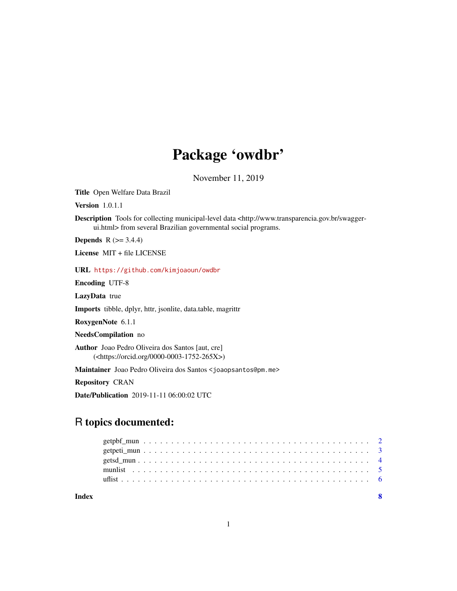## Package 'owdbr'

November 11, 2019

Title Open Welfare Data Brazil

Version 1.0.1.1

Description Tools for collecting municipal-level data <http://www.transparencia.gov.br/swaggerui.html> from several Brazilian governmental social programs.

**Depends**  $R$  ( $>= 3.4.4$ )

License MIT + file LICENSE

URL <https://github.com/kimjoaoun/owdbr>

Encoding UTF-8

LazyData true

Imports tibble, dplyr, httr, jsonlite, data.table, magrittr

RoxygenNote 6.1.1

NeedsCompilation no

Author Joao Pedro Oliveira dos Santos [aut, cre] (<https://orcid.org/0000-0003-1752-265X>)

Maintainer Joao Pedro Oliveira dos Santos <joaopsantos@pm.me>

Repository CRAN

Date/Publication 2019-11-11 06:00:02 UTC

### R topics documented:

| Index |  |  |  |  |  |  |  |  |  |  |  |  |  |  |  |  |  |  |  |  |  |
|-------|--|--|--|--|--|--|--|--|--|--|--|--|--|--|--|--|--|--|--|--|--|
|       |  |  |  |  |  |  |  |  |  |  |  |  |  |  |  |  |  |  |  |  |  |
|       |  |  |  |  |  |  |  |  |  |  |  |  |  |  |  |  |  |  |  |  |  |
|       |  |  |  |  |  |  |  |  |  |  |  |  |  |  |  |  |  |  |  |  |  |
|       |  |  |  |  |  |  |  |  |  |  |  |  |  |  |  |  |  |  |  |  |  |
|       |  |  |  |  |  |  |  |  |  |  |  |  |  |  |  |  |  |  |  |  |  |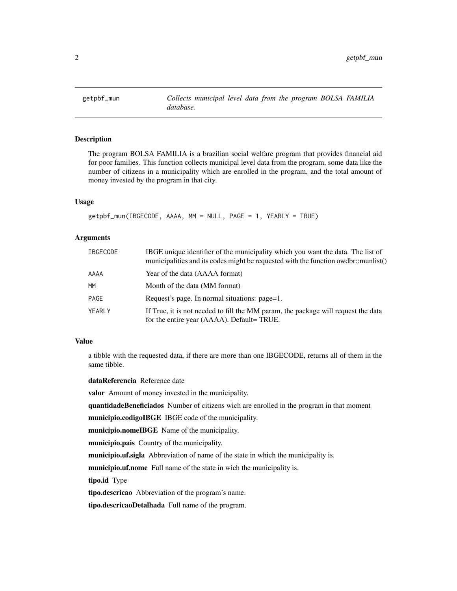<span id="page-1-0"></span>

#### **Description**

The program BOLSA FAMILIA is a brazilian social welfare program that provides financial aid for poor families. This function collects municipal level data from the program, some data like the number of citizens in a municipality which are enrolled in the program, and the total amount of money invested by the program in that city.

#### Usage

```
getpbf_mun(IBGECODE, AAAA, MM = NULL, PAGE = 1, YEARLY = TRUE)
```
#### Arguments

| <b>IBGECODE</b> | IBGE unique identifier of the municipality which you want the data. The list of<br>municipalities and its codes might be requested with the function owdbr::munlist() |
|-----------------|-----------------------------------------------------------------------------------------------------------------------------------------------------------------------|
| AAAA            | Year of the data (AAAA format)                                                                                                                                        |
| <b>MM</b>       | Month of the data (MM format)                                                                                                                                         |
| PAGE            | Request's page. In normal situations: page=1.                                                                                                                         |
| YEARLY          | If True, it is not needed to fill the MM param, the package will request the data<br>for the entire year (AAAA). Default= TRUE.                                       |

#### Value

a tibble with the requested data, if there are more than one IBGECODE, returns all of them in the same tibble.

dataReferencia Reference date

valor Amount of money invested in the municipality.

quantidadeBeneficiados Number of citizens wich are enrolled in the program in that moment

municipio.codigoIBGE IBGE code of the municipality.

municipio.nomeIBGE Name of the municipality.

municipio.pais Country of the municipality.

municipio.uf.sigla Abbreviation of name of the state in which the municipality is.

municipio.uf.nome Full name of the state in wich the municipality is.

tipo.id Type

tipo.descricao Abbreviation of the program's name.

tipo.descricaoDetalhada Full name of the program.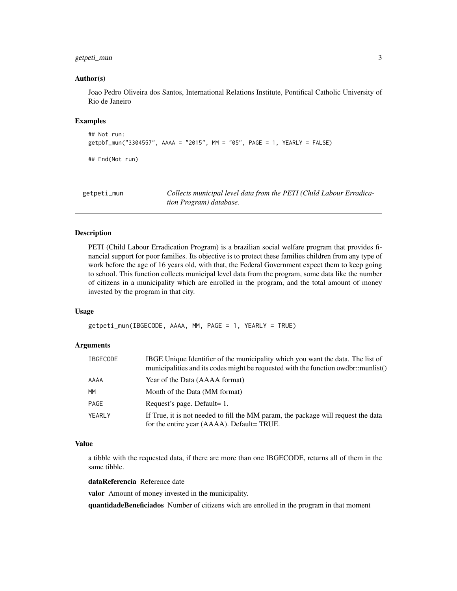#### <span id="page-2-0"></span>getpeti\_mun 3

#### Author(s)

Joao Pedro Oliveira dos Santos, International Relations Institute, Pontifical Catholic University of Rio de Janeiro

#### Examples

```
## Not run:
getpbf_mun("3304557", AAAA = "2015", MM = "05", PAGE = 1, YEARLY = FALSE)
## End(Not run)
```

| getpeti_mun | Collects municipal level data from the PETI (Child Labour Erradica-<br>tion Program) database. |
|-------------|------------------------------------------------------------------------------------------------|
|             |                                                                                                |

#### Description

PETI (Child Labour Erradication Program) is a brazilian social welfare program that provides financial support for poor families. Its objective is to protect these families children from any type of work before the age of 16 years old, with that, the Federal Government expect them to keep going to school. This function collects municipal level data from the program, some data like the number of citizens in a municipality which are enrolled in the program, and the total amount of money invested by the program in that city.

#### Usage

```
getpeti_mun(IBGECODE, AAAA, MM, PAGE = 1, YEARLY = TRUE)
```
#### Arguments

| <b>IBGECODE</b> | IBGE Unique Identifier of the municipality which you want the data. The list of<br>municipalities and its codes might be requested with the function owdbr::munlist() |
|-----------------|-----------------------------------------------------------------------------------------------------------------------------------------------------------------------|
| AAAA            | Year of the Data (AAAA format)                                                                                                                                        |
| <b>MM</b>       | Month of the Data (MM format)                                                                                                                                         |
| PAGE            | Request's page. Default= 1.                                                                                                                                           |
| YEARLY          | If True, it is not needed to fill the MM param, the package will request the data<br>for the entire year (AAAA). Default= TRUE.                                       |

#### Value

a tibble with the requested data, if there are more than one IBGECODE, returns all of them in the same tibble.

dataReferencia Reference date

valor Amount of money invested in the municipality.

quantidadeBeneficiados Number of citizens wich are enrolled in the program in that moment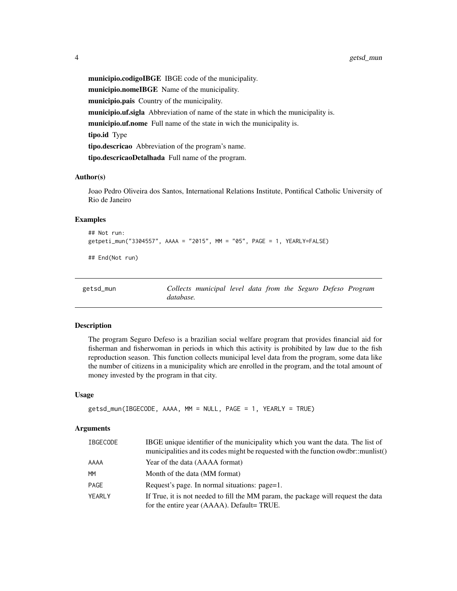<span id="page-3-0"></span>municipio.codigoIBGE IBGE code of the municipality. municipio.nomeIBGE Name of the municipality. municipio.pais Country of the municipality. municipio.uf.sigla Abbreviation of name of the state in which the municipality is. municipio.uf.nome Full name of the state in wich the municipality is. tipo.id Type tipo.descricao Abbreviation of the program's name. tipo.descricaoDetalhada Full name of the program.

#### Author(s)

Joao Pedro Oliveira dos Santos, International Relations Institute, Pontifical Catholic University of Rio de Janeiro

#### Examples

## Not run: getpeti\_mun("3304557", AAAA = "2015", MM = "05", PAGE = 1, YEARLY=FALSE)

## End(Not run)

| getsd_mun |           | Collects municipal level data from the Seguro Defeso Program |  |  |  |  |
|-----------|-----------|--------------------------------------------------------------|--|--|--|--|
|           | database. |                                                              |  |  |  |  |

#### Description

The program Seguro Defeso is a brazilian social welfare program that provides financial aid for fisherman and fisherwoman in periods in which this activity is prohibited by law due to the fish reproduction season. This function collects municipal level data from the program, some data like the number of citizens in a municipality which are enrolled in the program, and the total amount of money invested by the program in that city.

#### Usage

```
getsd_mun(IBGECODE, AAAA, MM = NULL, PAGE = 1, YEARLY = TRUE)
```
#### **Arguments**

| <b>IBGECODE</b> | IBGE unique identifier of the municipality which you want the data. The list of<br>municipalities and its codes might be requested with the function owdbr::munlist() |
|-----------------|-----------------------------------------------------------------------------------------------------------------------------------------------------------------------|
| AAAA            | Year of the data (AAAA format)                                                                                                                                        |
| <b>MM</b>       | Month of the data (MM format)                                                                                                                                         |
| PAGE            | Request's page. In normal situations: page=1.                                                                                                                         |
| YEARLY          | If True, it is not needed to fill the MM param, the package will request the data<br>for the entire year (AAAA). Default= TRUE.                                       |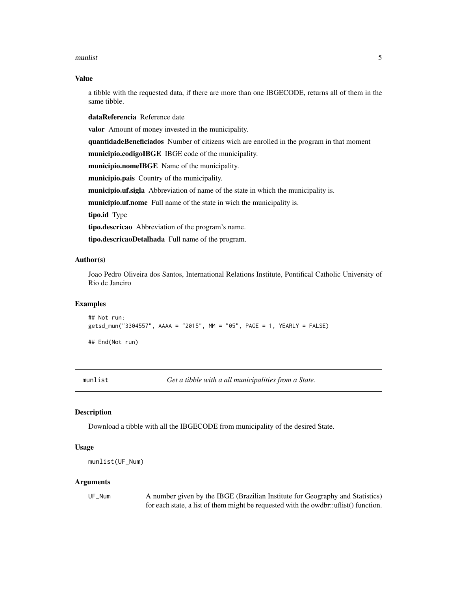#### <span id="page-4-0"></span>munlist 5

#### Value

a tibble with the requested data, if there are more than one IBGECODE, returns all of them in the same tibble.

dataReferencia Reference date

valor Amount of money invested in the municipality.

quantidadeBeneficiados Number of citizens wich are enrolled in the program in that moment

municipio.codigoIBGE IBGE code of the municipality.

municipio.nomeIBGE Name of the municipality.

municipio.pais Country of the municipality.

municipio.uf.sigla Abbreviation of name of the state in which the municipality is.

municipio.uf.nome Full name of the state in wich the municipality is.

tipo.id Type

tipo.descricao Abbreviation of the program's name.

tipo.descricaoDetalhada Full name of the program.

#### Author(s)

Joao Pedro Oliveira dos Santos, International Relations Institute, Pontifical Catholic University of Rio de Janeiro

#### Examples

```
## Not run:
getsd_mun("3304557", AAAA = "2015", MM = "05", PAGE = 1, YEARLY = FALSE)
## End(Not run)
```
munlist *Get a tibble with a all municipalities from a State.*

#### Description

Download a tibble with all the IBGECODE from municipality of the desired State.

#### Usage

```
munlist(UF_Num)
```
#### Arguments

UF\_Num A number given by the IBGE (Brazilian Institute for Geography and Statistics) for each state, a list of them might be requested with the owdbr::uflist() function.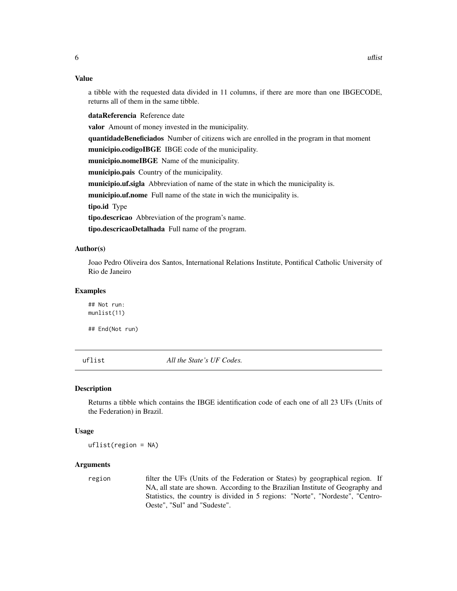#### Value

a tibble with the requested data divided in 11 columns, if there are more than one IBGECODE, returns all of them in the same tibble.

dataReferencia Reference date

valor Amount of money invested in the municipality.

quantidadeBeneficiados Number of citizens wich are enrolled in the program in that moment

municipio.codigoIBGE IBGE code of the municipality.

municipio.nomeIBGE Name of the municipality.

municipio.pais Country of the municipality.

municipio.uf.sigla Abbreviation of name of the state in which the municipality is.

municipio.uf.nome Full name of the state in wich the municipality is.

tipo.id Type

tipo.descricao Abbreviation of the program's name.

tipo.descricaoDetalhada Full name of the program.

#### Author(s)

Joao Pedro Oliveira dos Santos, International Relations Institute, Pontifical Catholic University of Rio de Janeiro

#### Examples

## Not run: munlist(11)

## End(Not run)

uflist *All the State's UF Codes.*

#### Description

Returns a tibble which contains the IBGE identification code of each one of all 23 UFs (Units of the Federation) in Brazil.

#### Usage

uflist(region = NA)

#### Arguments

region filter the UFs (Units of the Federation or States) by geographical region. If NA, all state are shown. According to the Brazilian Institute of Geography and Statistics, the country is divided in 5 regions: "Norte", "Nordeste", "Centro-Oeste", "Sul" and "Sudeste".

<span id="page-5-0"></span>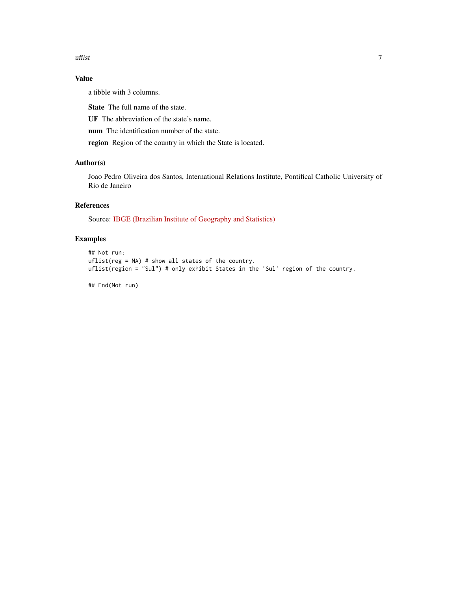uflist **7** 

#### Value

a tibble with 3 columns.

State The full name of the state.

UF The abbreviation of the state's name.

num The identification number of the state.

region Region of the country in which the State is located.

#### Author(s)

Joao Pedro Oliveira dos Santos, International Relations Institute, Pontifical Catholic University of Rio de Janeiro

#### References

Source: [IBGE \(Brazilian Institute of Geography and Statistics\)](https://cidades.ibge.gov.br)

#### Examples

```
## Not run:
uflist(reg = NA) # show all states of the country.
uflist(region = "Sul") # only exhibit States in the 'Sul' region of the country.
```
## End(Not run)